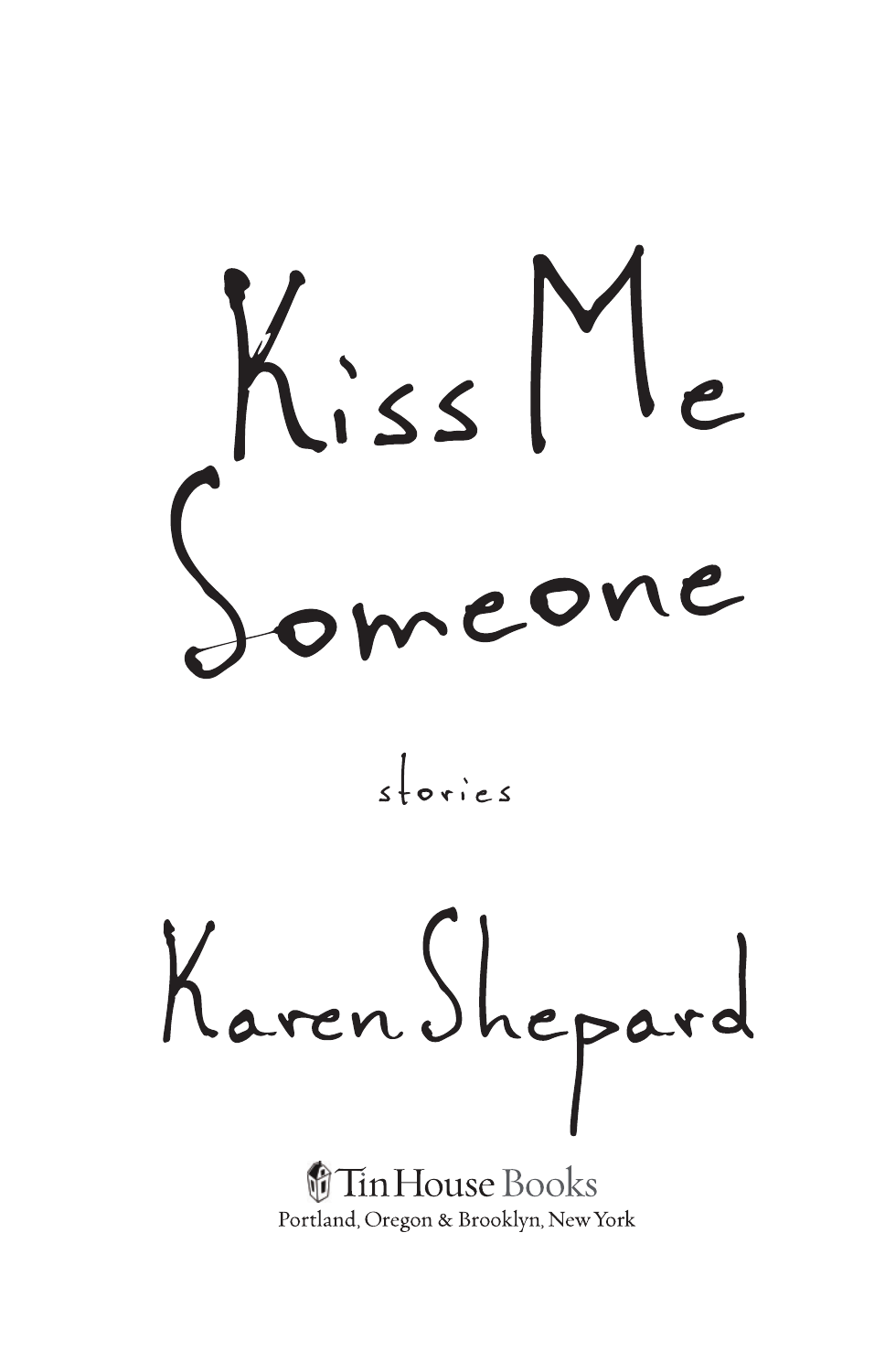Kiss Me ui -<br>-incone

## $stories$

Karen Shepard **MTin House Books** 

Portland, Oregon & Brooklyn, New York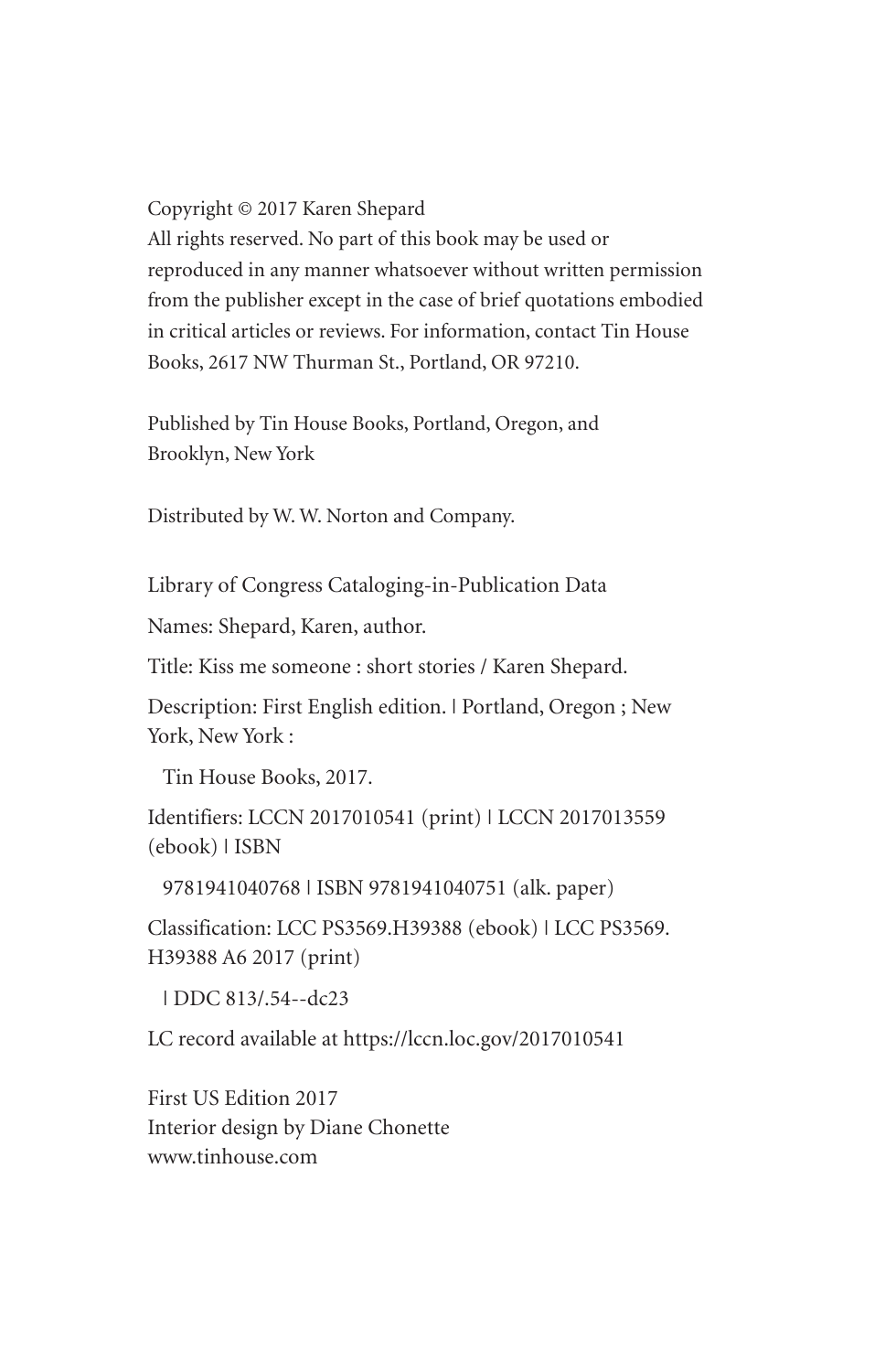Copyright © 2017 Karen Shepard

All rights reserved. No part of this book may be used or reproduced in any manner whatsoever without written permission from the publisher except in the case of brief quotations embodied in critical articles or reviews. For information, contact Tin House Books, 2617 NW Thurman St., Portland, OR 97210.

Published by Tin House Books, Portland, Oregon, and Brooklyn, New York

Distributed by W. W. Norton and Company.

Library of Congress Cataloging-in-Publication Data

Names: Shepard, Karen, author.

Title: Kiss me someone : short stories / Karen Shepard.

Description: First English edition. | Portland, Oregon ; New York, New York :

Tin House Books, 2017.

Identifiers: LCCN 2017010541 (print) | LCCN 2017013559 (ebook) | ISBN

9781941040768 | ISBN 9781941040751 (alk. paper)

Classification: LCC PS3569.H39388 (ebook) | LCC PS3569. H39388 A6 2017 (print)

| DDC 813/.54--dc23

LC record available at https://lccn.loc.gov/2017010541

First US Edition 2017 Interior design by Diane Chonette www.tinhouse.com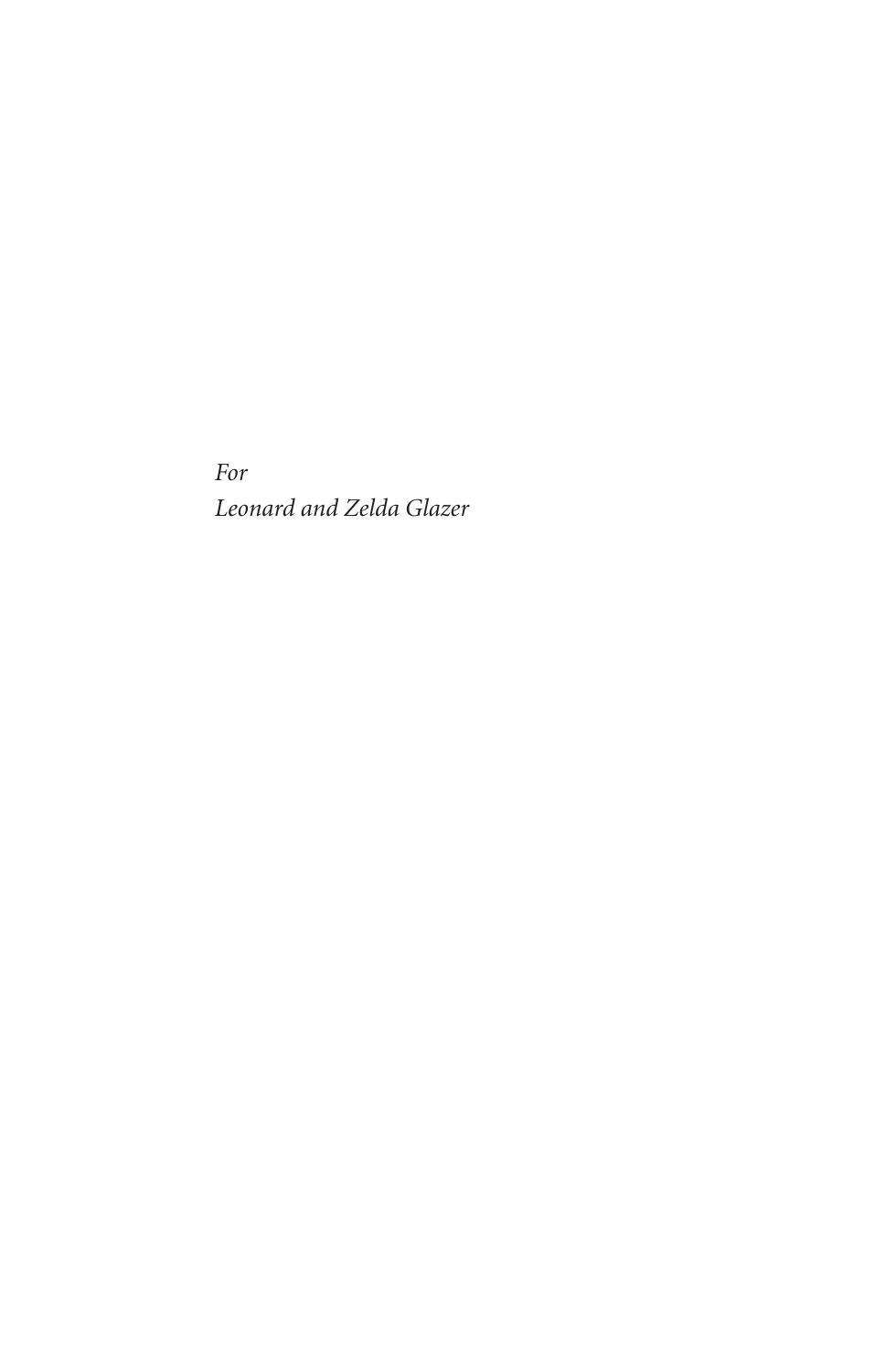*For Leonard and Zelda Glazer*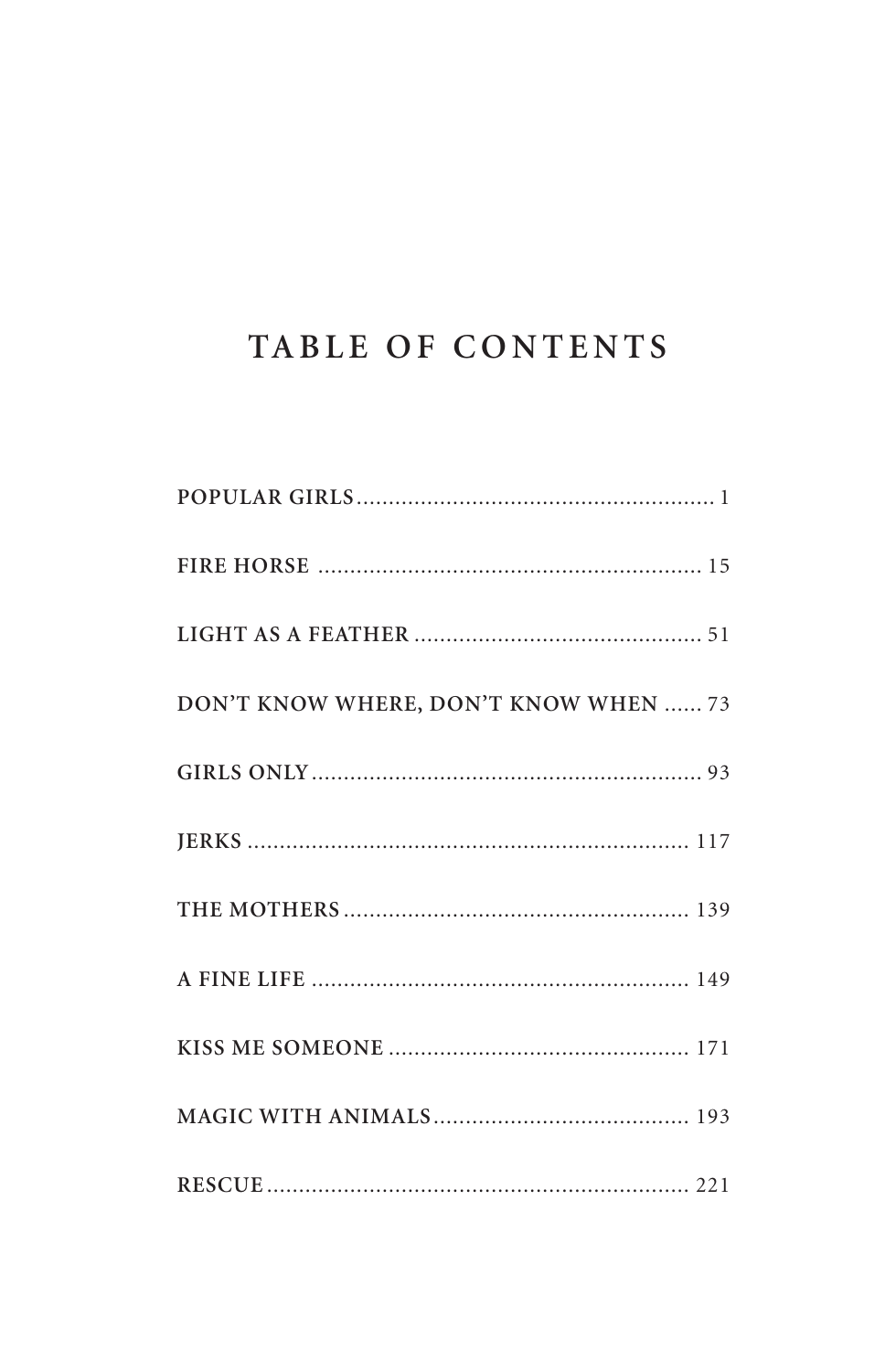## TABLE OF CONTENTS

| DON'T KNOW WHERE, DON'T KNOW WHEN  73 |
|---------------------------------------|
|                                       |
|                                       |
|                                       |
|                                       |
|                                       |
|                                       |
|                                       |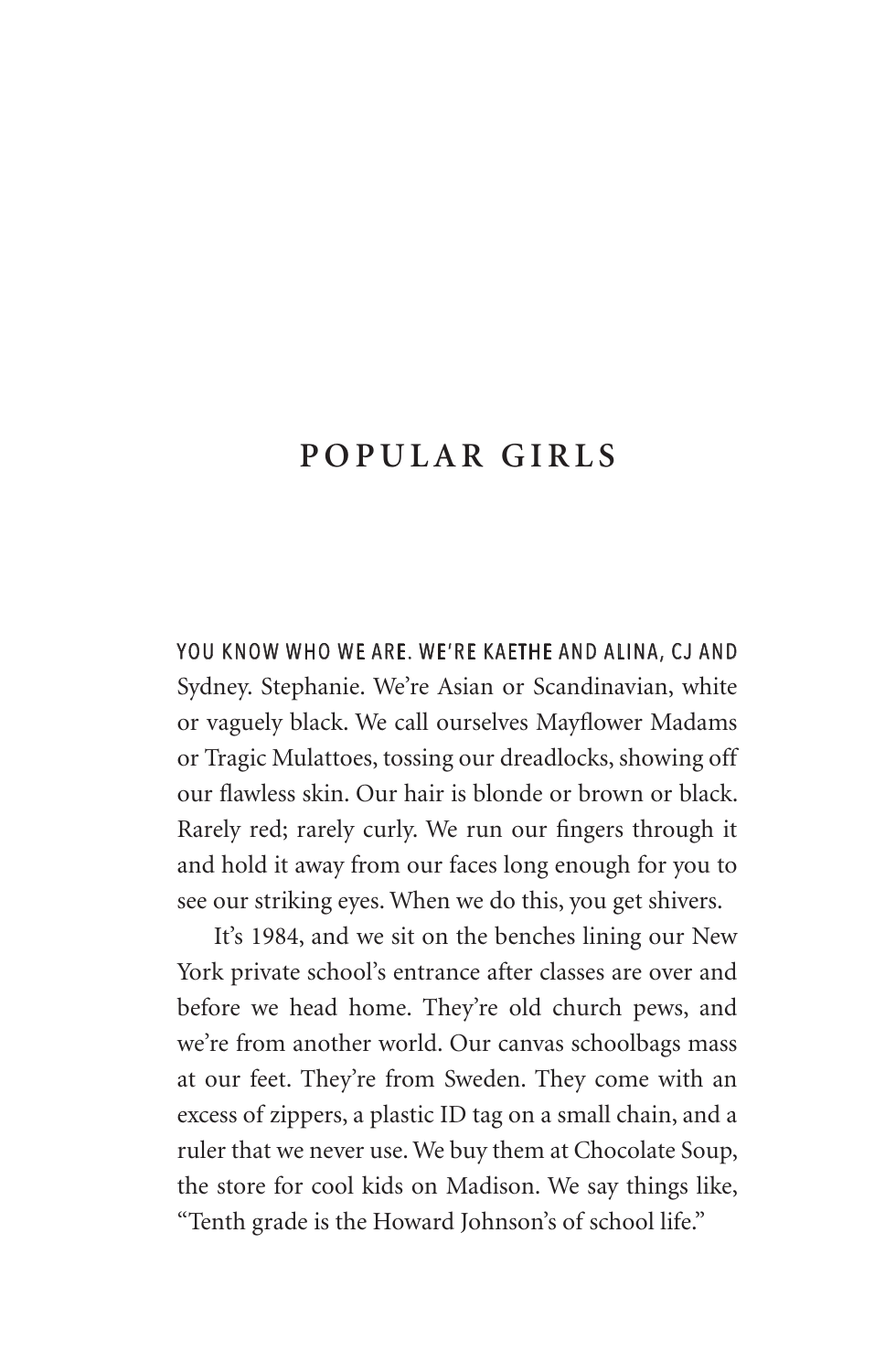## **POPULAR GIRLS**

## YOU KNOW WHO WE ARE. WE'RE KAETHE AND ALINA, CJ AND

Sydney. Stephanie. We're Asian or Scandinavian, white or vaguely black. We call ourselves Mayflower Madams or Tragic Mulattoes, tossing our dreadlocks, showing off our flawless skin. Our hair is blonde or brown or black. Rarely red; rarely curly. We run our fingers through it and hold it away from our faces long enough for you to see our striking eyes. When we do this, you get shivers.

It's 1984, and we sit on the benches lining our New York private school's entrance after classes are over and before we head home. They're old church pews, and we're from another world. Our canvas schoolbags mass at our feet. They're from Sweden. They come with an excess of zippers, a plastic ID tag on a small chain, and a ruler that we never use. We buy them at Chocolate Soup, the store for cool kids on Madison. We say things like, "Tenth grade is the Howard Johnson's of school life."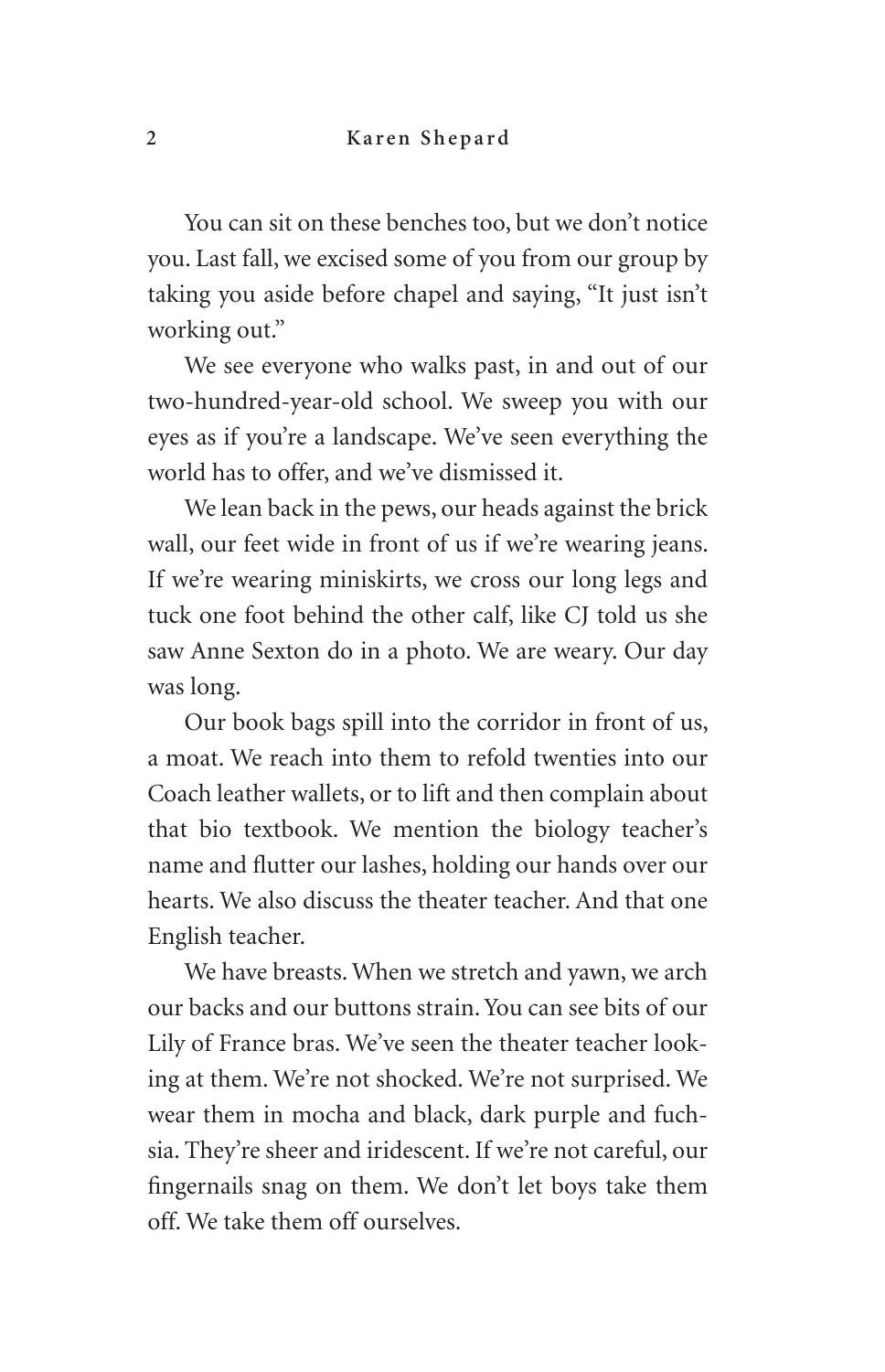You can sit on these benches too, but we don't notice you. Last fall, we excised some of you from our group by taking you aside before chapel and saying, "It just isn't working out."

We see everyone who walks past, in and out of our two-hundred-year-old school. We sweep you with our eyes as if you're a landscape. We've seen everything the world has to offer, and we've dismissed it.

We lean back in the pews, our heads against the brick wall, our feet wide in front of us if we're wearing jeans. If we're wearing miniskirts, we cross our long legs and tuck one foot behind the other calf, like CJ told us she saw Anne Sexton do in a photo. We are weary. Our day was long.

Our book bags spill into the corridor in front of us, a moat. We reach into them to refold twenties into our Coach leather wallets, or to lift and then complain about that bio textbook. We mention the biology teacher's name and flutter our lashes, holding our hands over our hearts. We also discuss the theater teacher. And that one English teacher.

We have breasts. When we stretch and yawn, we arch our backs and our buttons strain. You can see bits of our Lily of France bras. We've seen the theater teacher looking at them. We're not shocked. We're not surprised. We wear them in mocha and black, dark purple and fuchsia. They're sheer and iridescent. If we're not careful, our fingernails snag on them. We don't let boys take them off. We take them off ourselves.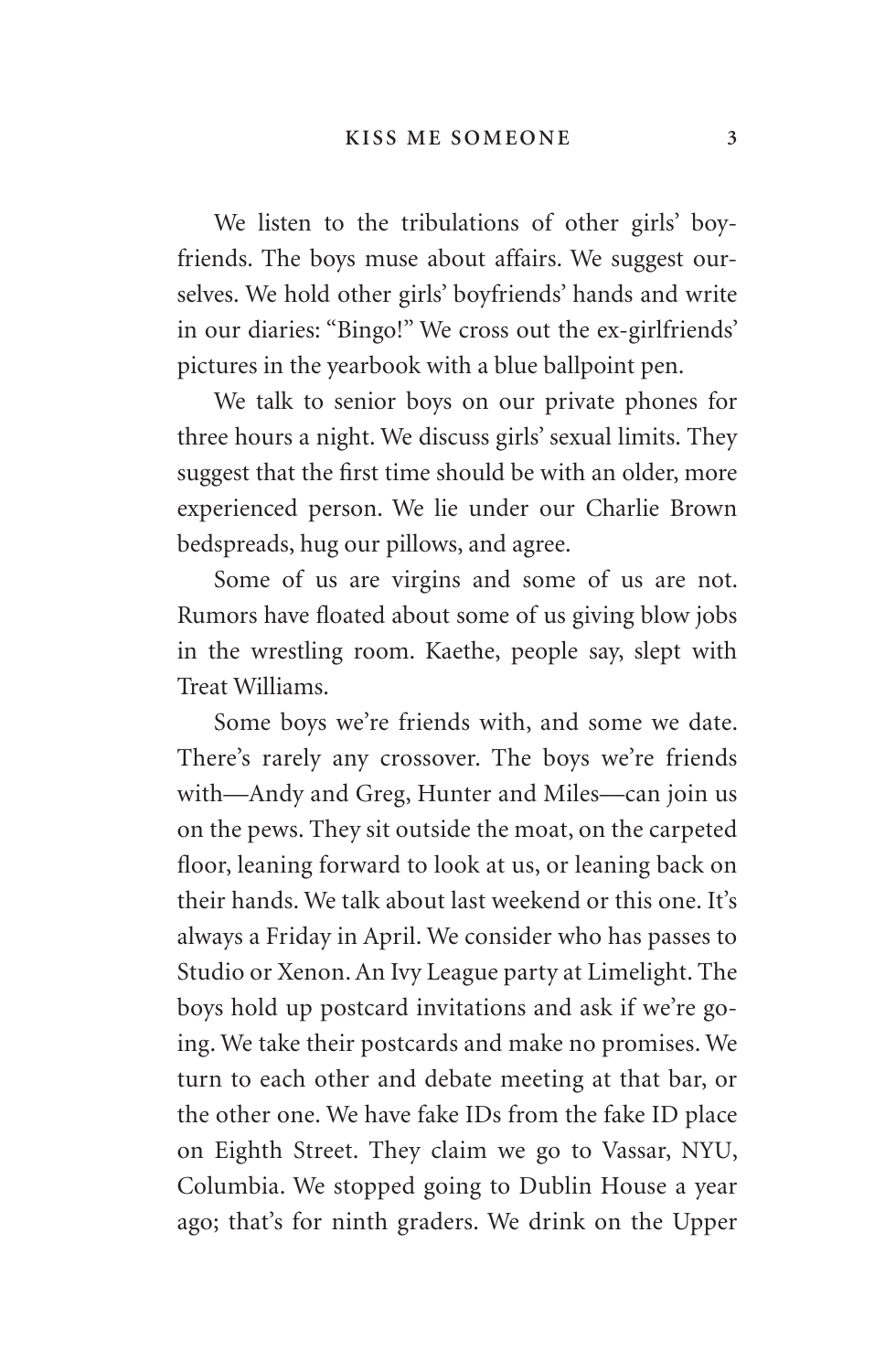We listen to the tribulations of other girls' boyfriends. The boys muse about affairs. We suggest ourselves. We hold other girls' boyfriends' hands and write in our diaries: "Bingo!" We cross out the ex-girlfriends' pictures in the yearbook with a blue ballpoint pen.

We talk to senior boys on our private phones for three hours a night. We discuss girls' sexual limits. They suggest that the first time should be with an older, more experienced person. We lie under our Charlie Brown bedspreads, hug our pillows, and agree.

Some of us are virgins and some of us are not. Rumors have floated about some of us giving blow jobs in the wrestling room. Kaethe, people say, slept with Treat Williams.

Some boys we're friends with, and some we date. There's rarely any crossover. The boys we're friends with—Andy and Greg, Hunter and Miles—can join us on the pews. They sit outside the moat, on the carpeted floor, leaning forward to look at us, or leaning back on their hands. We talk about last weekend or this one. It's always a Friday in April. We consider who has passes to Studio or Xenon. An Ivy League party at Limelight. The boys hold up postcard invitations and ask if we're going. We take their postcards and make no promises. We turn to each other and debate meeting at that bar, or the other one. We have fake IDs from the fake ID place on Eighth Street. They claim we go to Vassar, NYU, Columbia. We stopped going to Dublin House a year ago; that's for ninth graders. We drink on the Upper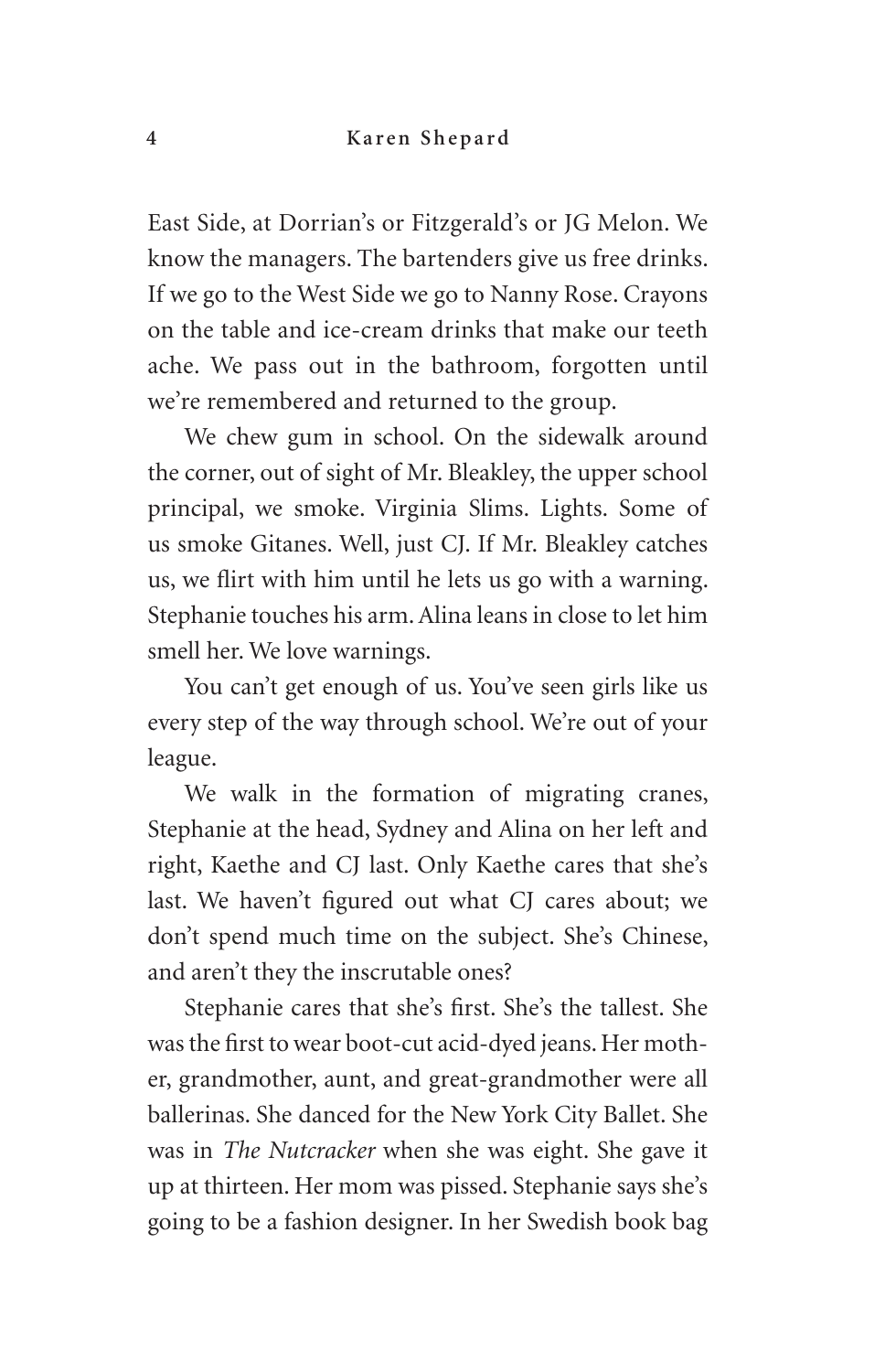East Side, at Dorrian's or Fitzgerald's or JG Melon. We know the managers. The bartenders give us free drinks. If we go to the West Side we go to Nanny Rose. Crayons on the table and ice-cream drinks that make our teeth ache. We pass out in the bathroom, forgotten until we're remembered and returned to the group.

We chew gum in school. On the sidewalk around the corner, out of sight of Mr. Bleakley, the upper school principal, we smoke. Virginia Slims. Lights. Some of us smoke Gitanes. Well, just CJ. If Mr. Bleakley catches us, we flirt with him until he lets us go with a warning. Stephanie touches his arm. Alina leans in close to let him smell her. We love warnings.

You can't get enough of us. You've seen girls like us every step of the way through school. We're out of your league.

We walk in the formation of migrating cranes, Stephanie at the head, Sydney and Alina on her left and right, Kaethe and CJ last. Only Kaethe cares that she's last. We haven't figured out what CJ cares about; we don't spend much time on the subject. She's Chinese, and aren't they the inscrutable ones?

Stephanie cares that she's first. She's the tallest. She was the first to wear boot-cut acid-dyed jeans. Her mother, grandmother, aunt, and great-grandmother were all ballerinas. She danced for the New York City Ballet. She was in *The Nutcracker* when she was eight. She gave it up at thirteen. Her mom was pissed. Stephanie says she's going to be a fashion designer. In her Swedish book bag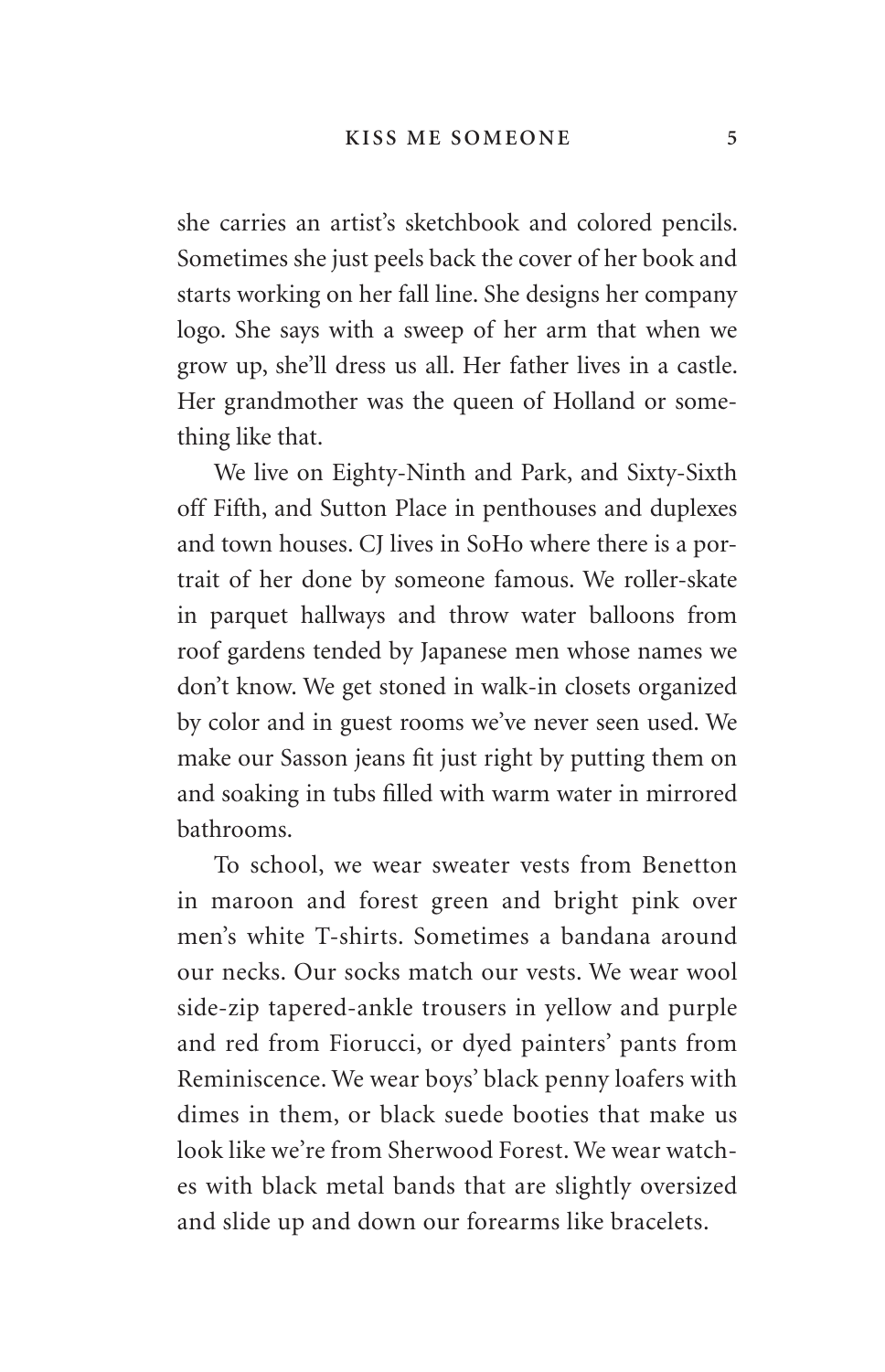she carries an artist's sketchbook and colored pencils. Sometimes she just peels back the cover of her book and starts working on her fall line. She designs her company logo. She says with a sweep of her arm that when we grow up, she'll dress us all. Her father lives in a castle. Her grandmother was the queen of Holland or something like that.

We live on Eighty-Ninth and Park, and Sixty-Sixth off Fifth, and Sutton Place in penthouses and duplexes and town houses. CJ lives in SoHo where there is a portrait of her done by someone famous. We roller-skate in parquet hallways and throw water balloons from roof gardens tended by Japanese men whose names we don't know. We get stoned in walk-in closets organized by color and in guest rooms we've never seen used. We make our Sasson jeans fit just right by putting them on and soaking in tubs filled with warm water in mirrored bathrooms.

To school, we wear sweater vests from Benetton in maroon and forest green and bright pink over men's white T-shirts. Sometimes a bandana around our necks. Our socks match our vests. We wear wool side-zip tapered-ankle trousers in yellow and purple and red from Fiorucci, or dyed painters' pants from Reminiscence. We wear boys' black penny loafers with dimes in them, or black suede booties that make us look like we're from Sherwood Forest. We wear watches with black metal bands that are slightly oversized and slide up and down our forearms like bracelets.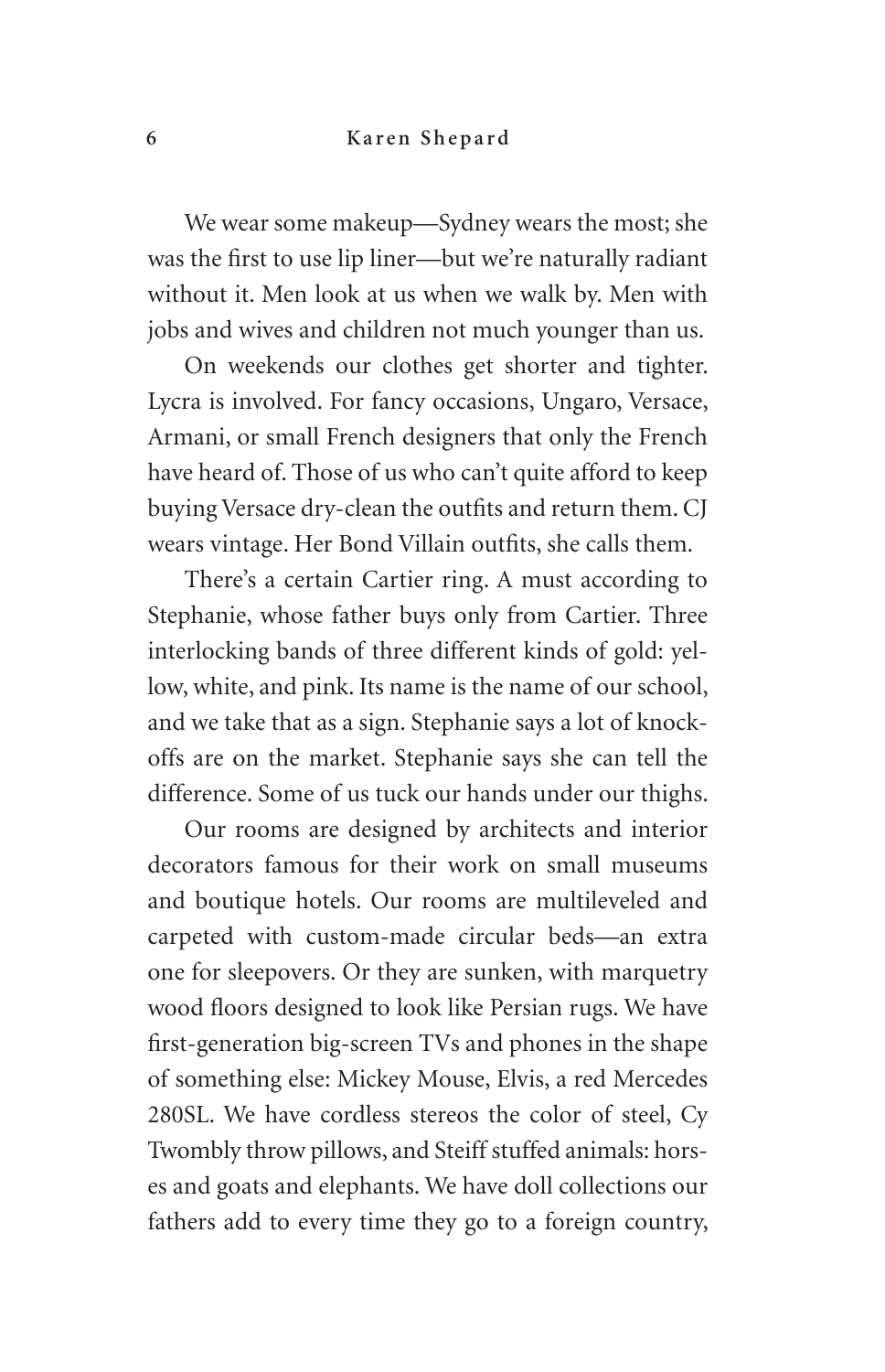We wear some makeup—Sydney wears the most; she was the first to use lip liner—but we're naturally radiant without it. Men look at us when we walk by. Men with jobs and wives and children not much younger than us.

On weekends our clothes get shorter and tighter. Lycra is involved. For fancy occasions, Ungaro, Versace, Armani, or small French designers that only the French have heard of. Those of us who can't quite afford to keep buying Versace dry-clean the outfits and return them. CJ wears vintage. Her Bond Villain outfits, she calls them.

There's a certain Cartier ring. A must according to Stephanie, whose father buys only from Cartier. Three interlocking bands of three different kinds of gold: yellow, white, and pink. Its name is the name of our school, and we take that as a sign. Stephanie says a lot of knockoffs are on the market. Stephanie says she can tell the difference. Some of us tuck our hands under our thighs.

Our rooms are designed by architects and interior decorators famous for their work on small museums and boutique hotels. Our rooms are multileveled and carpeted with custom-made circular beds—an extra one for sleepovers. Or they are sunken, with marquetry wood floors designed to look like Persian rugs. We have first-generation big-screen TVs and phones in the shape of something else: Mickey Mouse, Elvis, a red Mercedes 280SL. We have cordless stereos the color of steel, Cy Twombly throw pillows, and Steiff stuffed animals: horses and goats and elephants. We have doll collections our fathers add to every time they go to a foreign country,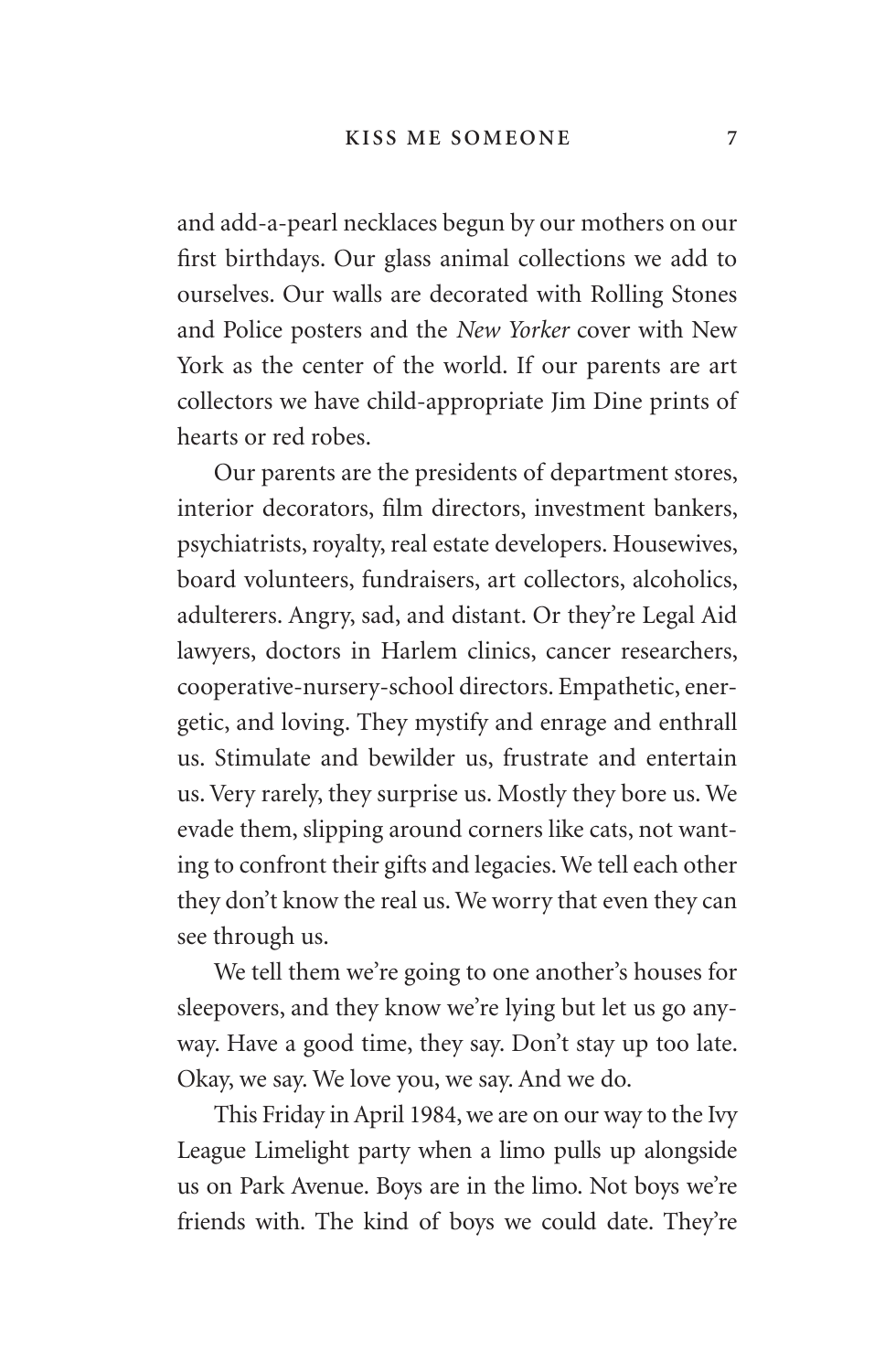and add-a-pearl necklaces begun by our mothers on our first birthdays. Our glass animal collections we add to ourselves. Our walls are decorated with Rolling Stones and Police posters and the *New Yorker* cover with New York as the center of the world. If our parents are art collectors we have child-appropriate Jim Dine prints of hearts or red robes.

Our parents are the presidents of department stores, interior decorators, film directors, investment bankers, psychiatrists, royalty, real estate developers. Housewives, board volunteers, fundraisers, art collectors, alcoholics, adulterers. Angry, sad, and distant. Or they're Legal Aid lawyers, doctors in Harlem clinics, cancer researchers, cooperative-nursery-school directors. Empathetic, energetic, and loving. They mystify and enrage and enthrall us. Stimulate and bewilder us, frustrate and entertain us. Very rarely, they surprise us. Mostly they bore us. We evade them, slipping around corners like cats, not wanting to confront their gifts and legacies. We tell each other they don't know the real us. We worry that even they can see through us.

We tell them we're going to one another's houses for sleepovers, and they know we're lying but let us go anyway. Have a good time, they say. Don't stay up too late. Okay, we say. We love you, we say. And we do.

This Friday in April 1984, we are on our way to the Ivy League Limelight party when a limo pulls up alongside us on Park Avenue. Boys are in the limo. Not boys we're friends with. The kind of boys we could date. They're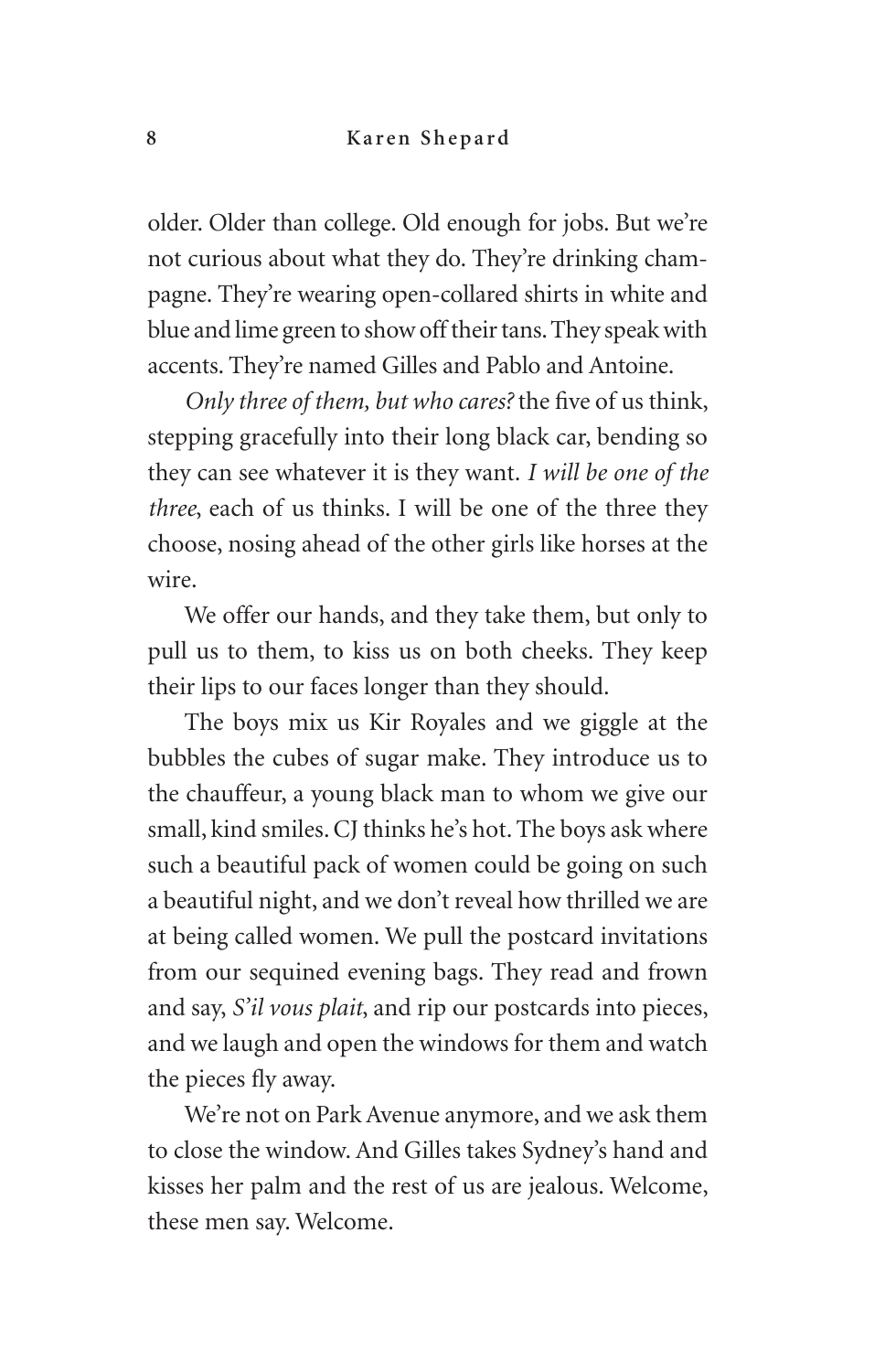older. Older than college. Old enough for jobs. But we're not curious about what they do. They're drinking champagne. They're wearing open-collared shirts in white and blue and lime green to show off their tans. They speak with accents. They're named Gilles and Pablo and Antoine.

*Only three of them, but who cares?* the five of us think, stepping gracefully into their long black car, bending so they can see whatever it is they want. *I will be one of the three*, each of us thinks. I will be one of the three they choose, nosing ahead of the other girls like horses at the wire.

We offer our hands, and they take them, but only to pull us to them, to kiss us on both cheeks. They keep their lips to our faces longer than they should.

The boys mix us Kir Royales and we giggle at the bubbles the cubes of sugar make. They introduce us to the chauffeur, a young black man to whom we give our small, kind smiles. CJ thinks he's hot. The boys ask where such a beautiful pack of women could be going on such a beautiful night, and we don't reveal how thrilled we are at being called women. We pull the postcard invitations from our sequined evening bags. They read and frown and say, *S'il vous plait*, and rip our postcards into pieces, and we laugh and open the windows for them and watch the pieces fly away.

We're not on Park Avenue anymore, and we ask them to close the window. And Gilles takes Sydney's hand and kisses her palm and the rest of us are jealous. Welcome, these men say. Welcome.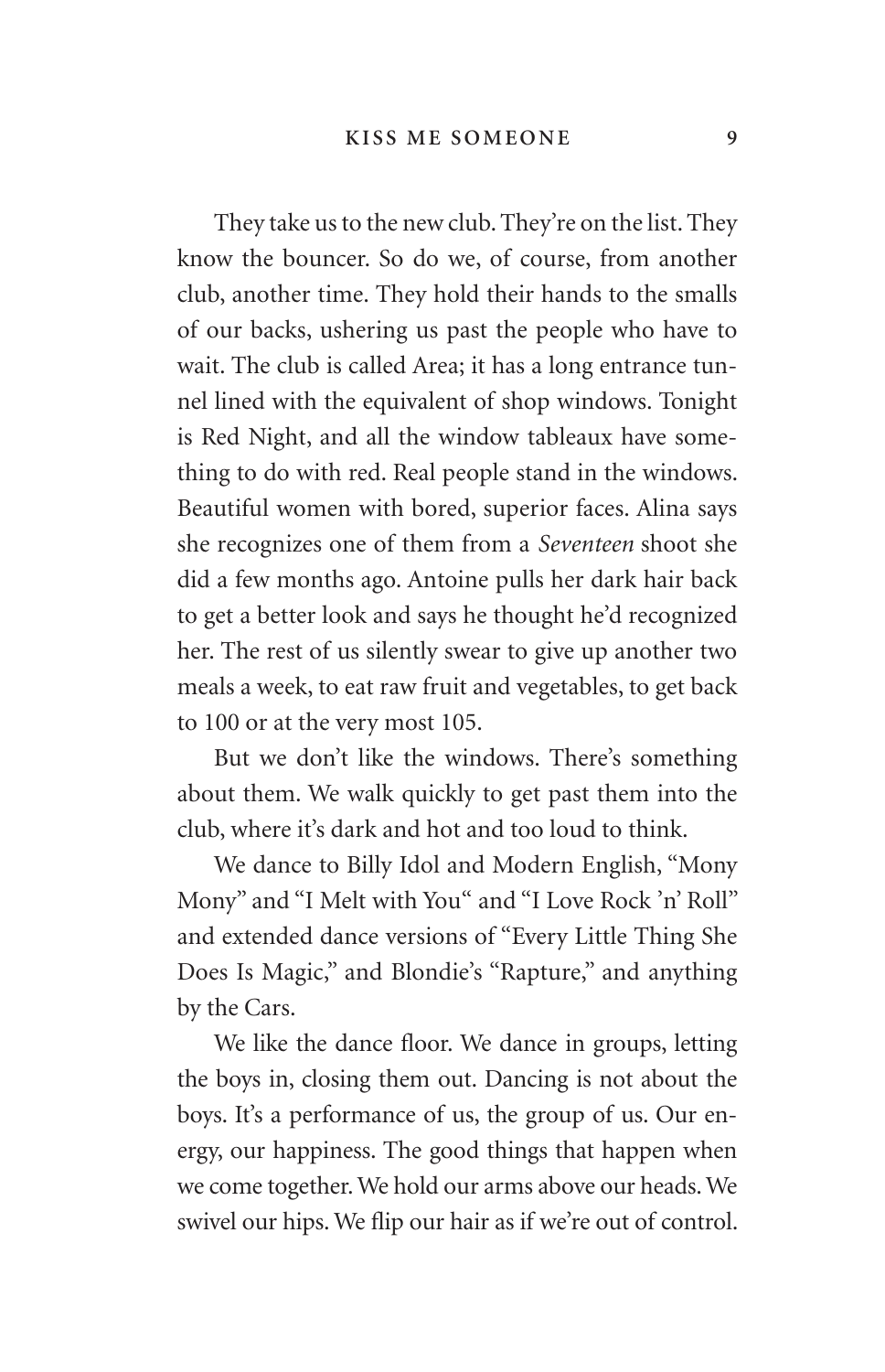They take us to the new club. They're on the list. They know the bouncer. So do we, of course, from another club, another time. They hold their hands to the smalls of our backs, ushering us past the people who have to wait. The club is called Area; it has a long entrance tunnel lined with the equivalent of shop windows. Tonight is Red Night, and all the window tableaux have something to do with red. Real people stand in the windows. Beautiful women with bored, superior faces. Alina says she recognizes one of them from a *Seventeen* shoot she did a few months ago. Antoine pulls her dark hair back to get a better look and says he thought he'd recognized her. The rest of us silently swear to give up another two meals a week, to eat raw fruit and vegetables, to get back to 100 or at the very most 105.

But we don't like the windows. There's something about them. We walk quickly to get past them into the club, where it's dark and hot and too loud to think.

We dance to Billy Idol and Modern English, "Mony Mony" and "I Melt with You" and "I Love Rock 'n' Roll" and extended dance versions of "Every Little Thing She Does Is Magic," and Blondie's "Rapture," and anything by the Cars.

We like the dance floor. We dance in groups, letting the boys in, closing them out. Dancing is not about the boys. It's a performance of us, the group of us. Our energy, our happiness. The good things that happen when we come together. We hold our arms above our heads. We swivel our hips. We flip our hair as if we're out of control.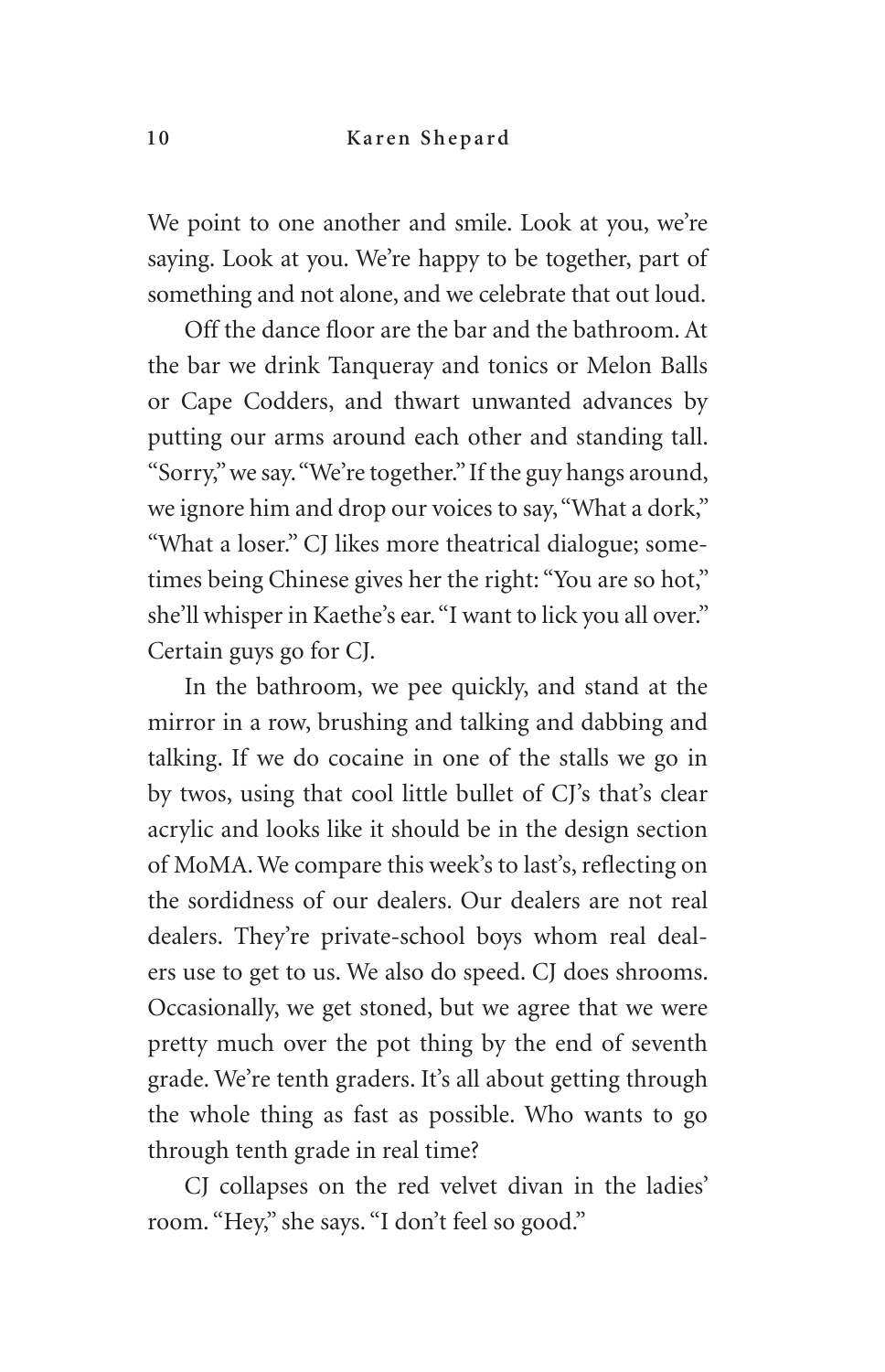We point to one another and smile. Look at you, we're saying. Look at you. We're happy to be together, part of something and not alone, and we celebrate that out loud.

Off the dance floor are the bar and the bathroom. At the bar we drink Tanqueray and tonics or Melon Balls or Cape Codders, and thwart unwanted advances by putting our arms around each other and standing tall. "Sorry," we say. "We're together." If the guy hangs around, we ignore him and drop our voices to say, "What a dork," "What a loser." CJ likes more theatrical dialogue; sometimes being Chinese gives her the right: "You are so hot," she'll whisper in Kaethe's ear. "I want to lick you all over." Certain guys go for CJ.

In the bathroom, we pee quickly, and stand at the mirror in a row, brushing and talking and dabbing and talking. If we do cocaine in one of the stalls we go in by twos, using that cool little bullet of CJ's that's clear acrylic and looks like it should be in the design section of MoMA. We compare this week's to last's, reflecting on the sordidness of our dealers. Our dealers are not real dealers. They're private-school boys whom real dealers use to get to us. We also do speed. CJ does shrooms. Occasionally, we get stoned, but we agree that we were pretty much over the pot thing by the end of seventh grade. We're tenth graders. It's all about getting through the whole thing as fast as possible. Who wants to go through tenth grade in real time?

CJ collapses on the red velvet divan in the ladies' room. "Hey," she says. "I don't feel so good."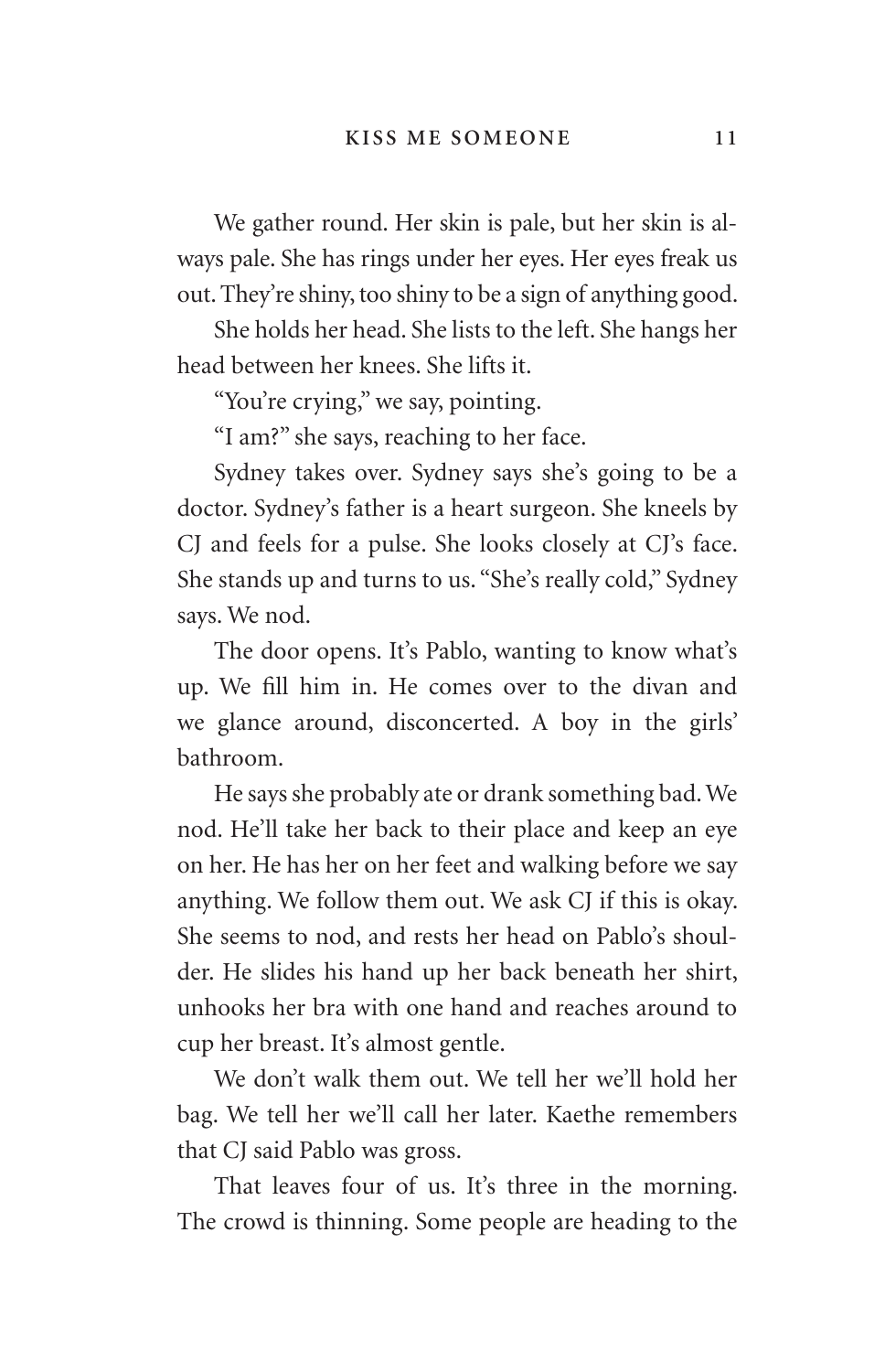We gather round. Her skin is pale, but her skin is always pale. She has rings under her eyes. Her eyes freak us out. They're shiny, too shiny to be a sign of anything good.

She holds her head. She lists to the left. She hangs her head between her knees. She lifts it.

"You're crying," we say, pointing.

"I am?" she says, reaching to her face.

Sydney takes over. Sydney says she's going to be a doctor. Sydney's father is a heart surgeon. She kneels by CJ and feels for a pulse. She looks closely at CJ's face. She stands up and turns to us. "She's really cold," Sydney says. We nod.

The door opens. It's Pablo, wanting to know what's up. We fill him in. He comes over to the divan and we glance around, disconcerted. A boy in the girls' bathroom.

He says she probably ate or drank something bad. We nod. He'll take her back to their place and keep an eye on her. He has her on her feet and walking before we say anything. We follow them out. We ask CJ if this is okay. She seems to nod, and rests her head on Pablo's shoulder. He slides his hand up her back beneath her shirt, unhooks her bra with one hand and reaches around to cup her breast. It's almost gentle.

We don't walk them out. We tell her we'll hold her bag. We tell her we'll call her later. Kaethe remembers that CJ said Pablo was gross.

That leaves four of us. It's three in the morning. The crowd is thinning. Some people are heading to the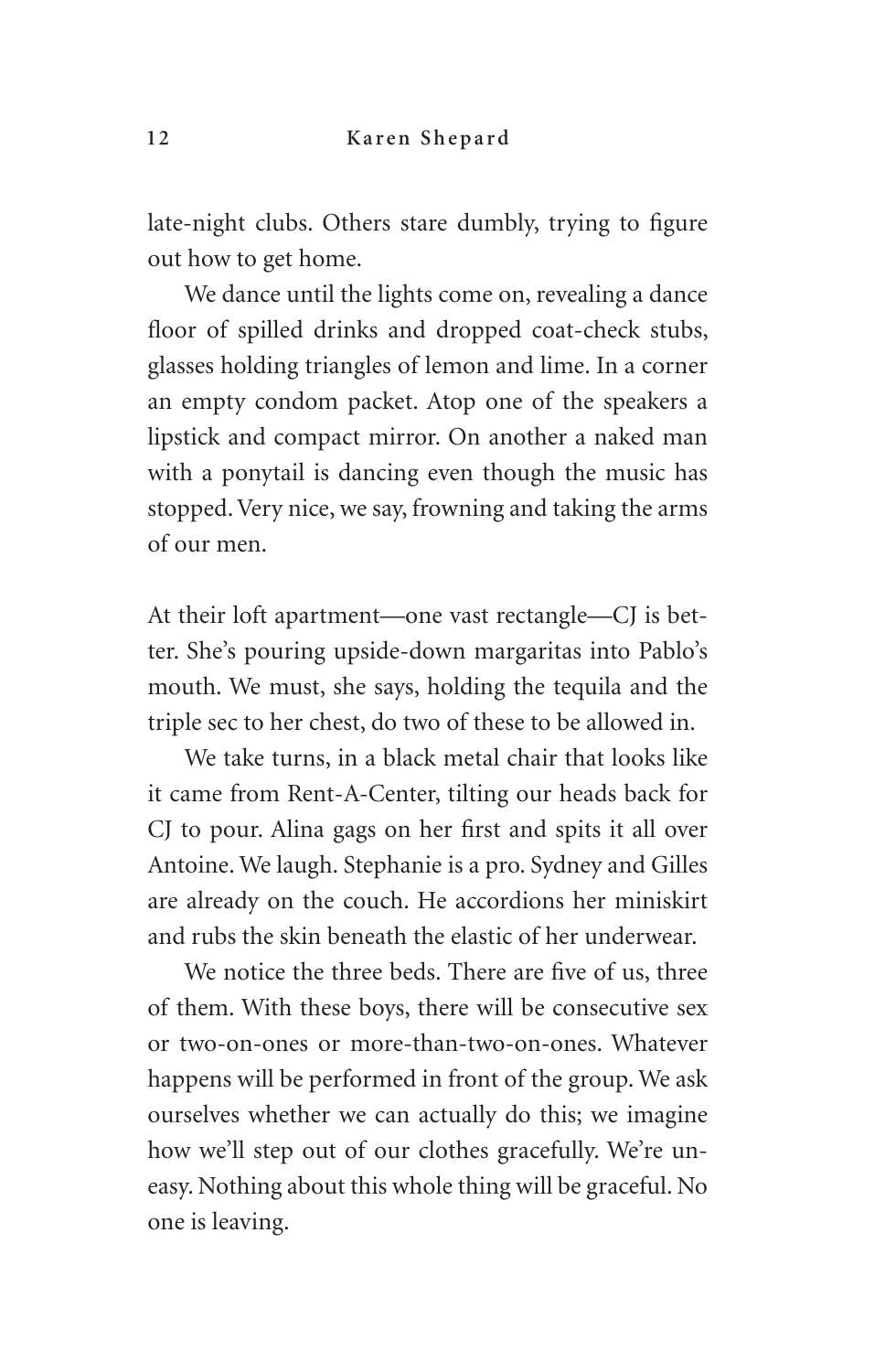late-night clubs. Others stare dumbly, trying to figure out how to get home.

We dance until the lights come on, revealing a dance floor of spilled drinks and dropped coat-check stubs, glasses holding triangles of lemon and lime. In a corner an empty condom packet. Atop one of the speakers a lipstick and compact mirror. On another a naked man with a ponytail is dancing even though the music has stopped. Very nice, we say, frowning and taking the arms of our men.

At their loft apartment—one vast rectangle—CJ is better. She's pouring upside-down margaritas into Pablo's mouth. We must, she says, holding the tequila and the triple sec to her chest, do two of these to be allowed in.

We take turns, in a black metal chair that looks like it came from Rent-A-Center, tilting our heads back for CJ to pour. Alina gags on her first and spits it all over Antoine. We laugh. Stephanie is a pro. Sydney and Gilles are already on the couch. He accordions her miniskirt and rubs the skin beneath the elastic of her underwear.

We notice the three beds. There are five of us, three of them. With these boys, there will be consecutive sex or two-on-ones or more-than-two-on-ones. Whatever happens will be performed in front of the group. We ask ourselves whether we can actually do this; we imagine how we'll step out of our clothes gracefully. We're uneasy. Nothing about this whole thing will be graceful. No one is leaving.